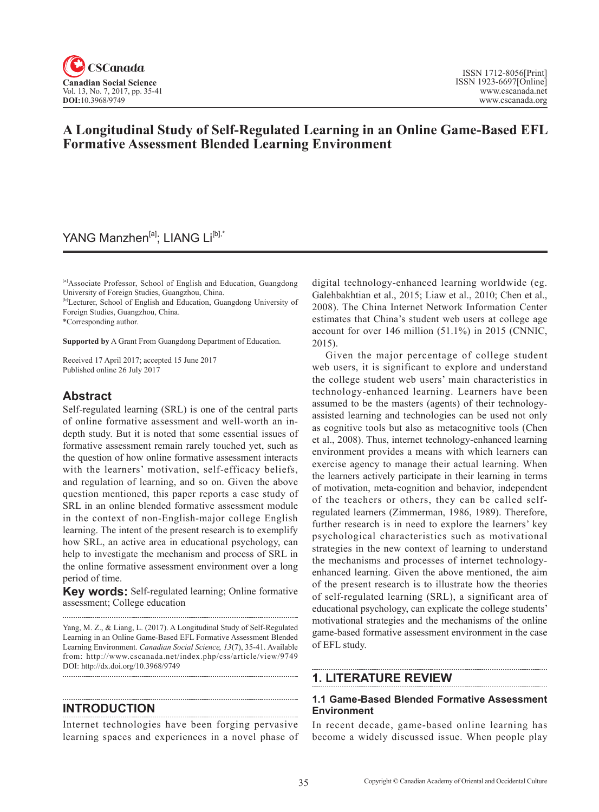

# **A Longitudinal Study of Self-Regulated Learning in an Online Game-Based EFL Formative Assessment Blended Learning Environment**

# YANG Manzhen<sup>[a]</sup>; LIANG Li<sup>[b],\*</sup>

[a]Associate Professor, School of English and Education, Guangdong University of Foreign Studies, Guangzhou, China.

<sup>[b]</sup>Lecturer, School of English and Education, Guangdong University of Foreign Studies, Guangzhou, China.

\*Corresponding author.

**Supported by** A Grant From Guangdong Department of Education.

Received 17 April 2017; accepted 15 June 2017 Published online 26 July 2017

## **Abstract**

Self-regulated learning (SRL) is one of the central parts of online formative assessment and well-worth an indepth study. But it is noted that some essential issues of formative assessment remain rarely touched yet, such as the question of how online formative assessment interacts with the learners' motivation, self-efficacy beliefs, and regulation of learning, and so on. Given the above question mentioned, this paper reports a case study of SRL in an online blended formative assessment module in the context of non-English-major college English learning. The intent of the present research is to exemplify how SRL, an active area in educational psychology, can help to investigate the mechanism and process of SRL in the online formative assessment environment over a long period of time.

**Key words:** Self-regulated learning; Online formative assessment; College education

Yang, M. Z., & Liang, L. (2017). A Longitudinal Study of Self-Regulated Learning in an Online Game-Based EFL Formative Assessment Blended Learning Environment. *Canadian Social Science*, <sup>13</sup>(7), 35-41. Available from: http://www.cscanada.net/index.php/css/article/view/9749 DOI: http://dx.doi.org/10.3968/9749 

### **INTRODUCTION**

Internet technologies have been forging pervasive learning spaces and experiences in a novel phase of

digital technology-enhanced learning worldwide (eg. Galehbakhtian et al., 2015; Liaw et al., 2010; Chen et al., 2008). The China Internet Network Information Center estimates that China's student web users at college age account for over 146 million (51.1%) in 2015 (CNNIC, 2015).

Given the major percentage of college student web users, it is significant to explore and understand the college student web users' main characteristics in technology-enhanced learning. Learners have been assumed to be the masters (agents) of their technologyassisted learning and technologies can be used not only as cognitive tools but also as metacognitive tools (Chen et al., 2008). Thus, internet technology-enhanced learning environment provides a means with which learners can exercise agency to manage their actual learning. When the learners actively participate in their learning in terms of motivation, meta-cognition and behavior, independent of the teachers or others, they can be called selfregulated learners (Zimmerman, 1986, 1989). Therefore, further research is in need to explore the learners' key psychological characteristics such as motivational strategies in the new context of learning to understand the mechanisms and processes of internet technologyenhanced learning. Given the above mentioned, the aim of the present research is to illustrate how the theories of self-regulated learning (SRL), a significant area of educational psychology, can explicate the college students' motivational strategies and the mechanisms of the online game-based formative assessment environment in the case of EFL study.

## **1. LITERATURE REVIEW**

### **1.1 Game-Based Blended Formative Assessment Environment**

In recent decade, game-based online learning has become a widely discussed issue. When people play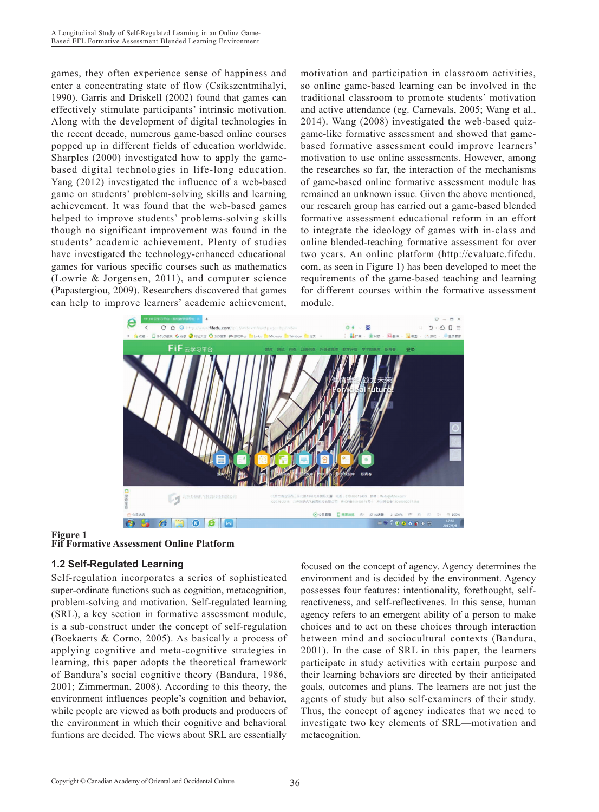games, they often experience sense of happiness and enter a concentrating state of flow (Csikszentmihalyi, 1990). Garris and Driskell (2002) found that games can effectively stimulate participants' intrinsic motivation. Along with the development of digital technologies in the recent decade, numerous game-based online courses popped up in different fields of education worldwide. Sharples (2000) investigated how to apply the gamebased digital technologies in life-long education. Yang (2012) investigated the influence of a web-based game on students' problem-solving skills and learning achievement. It was found that the web-based games helped to improve students' problems-solving skills though no significant improvement was found in the students' academic achievement. Plenty of studies have investigated the technology-enhanced educational games for various specific courses such as mathematics (Lowrie & Jorgensen, 2011), and computer science (Papastergiou, 2009). Researchers discovered that games can help to improve learners' academic achievement, motivation and participation in classroom activities, so online game-based learning can be involved in the traditional classroom to promote students' motivation and active attendance (eg. Carnevals, 2005; Wang et al., 2014). Wang (2008) investigated the web-based quizgame-like formative assessment and showed that gamebased formative assessment could improve learners' motivation to use online assessments. However, among the researches so far, the interaction of the mechanisms of game-based online formative assessment module has remained an unknown issue. Given the above mentioned, our research group has carried out a game-based blended formative assessment educational reform in an effort to integrate the ideology of games with in-class and online blended-teaching formative assessment for over two years. An online platform (http://evaluate.fifedu. com, as seen in Figure 1) has been developed to meet the requirements of the game-based teaching and learning for different courses within the formative assessment module.



## **Figure 1**



## **1.2 Self-Regulated Learning**

Self-regulation incorporates a series of sophisticated super-ordinate functions such as cognition, metacognition, problem-solving and motivation. Self-regulated learning (SRL), a key section in formative assessment module, is a sub-construct under the concept of self-regulation (Boekaerts & Corno, 2005). As basically a process of applying cognitive and meta-cognitive strategies in learning, this paper adopts the theoretical framework of Bandura's social cognitive theory (Bandura, 1986, 2001; Zimmerman, 2008). According to this theory, the environment influences people's cognition and behavior, while people are viewed as both products and producers of the environment in which their cognitive and behavioral funtions are decided. The views about SRL are essentially

focused on the concept of agency. Agency determines the environment and is decided by the environment. Agency possesses four features: intentionality, forethought, selfreactiveness, and self-reflectivenes. In this sense, human agency refers to an emergent ability of a person to make choices and to act on these choices through interaction between mind and sociocultural contexts (Bandura, 2001). In the case of SRL in this paper, the learners participate in study activities with certain purpose and their learning behaviors are directed by their anticipated goals, outcomes and plans. The learners are not just the agents of study but also self-examiners of their study. Thus, the concept of agency indicates that we need to investigate two key elements of SRL—motivation and metacognition.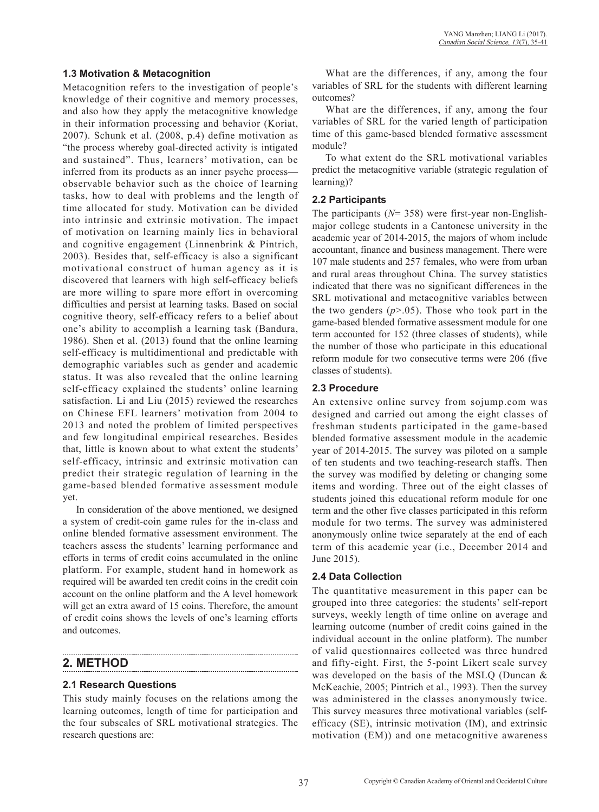#### **1.3 Motivation & Metacognition**

Metacognition refers to the investigation of people's knowledge of their cognitive and memory processes, and also how they apply the metacognitive knowledge in their information processing and behavior (Koriat, 2007). Schunk et al. (2008, p.4) define motivation as "the process whereby goal-directed activity is intigated and sustained". Thus, learners' motivation, can be inferred from its products as an inner psyche process observable behavior such as the choice of learning tasks, how to deal with problems and the length of time allocated for study. Motivation can be divided into intrinsic and extrinsic motivation. The impact of motivation on learning mainly lies in behavioral and cognitive engagement (Linnenbrink & Pintrich, 2003). Besides that, self-efficacy is also a significant motivational construct of human agency as it is discovered that learners with high self-efficacy beliefs are more willing to spare more effort in overcoming difficulties and persist at learning tasks. Based on social cognitive theory, self-efficacy refers to a belief about one's ability to accomplish a learning task (Bandura, 1986). Shen et al. (2013) found that the online learning self-efficacy is multidimentional and predictable with demographic variables such as gender and academic status. It was also revealed that the online learning self-efficacy explained the students' online learning satisfaction. Li and Liu (2015) reviewed the researches on Chinese EFL learners' motivation from 2004 to 2013 and noted the problem of limited perspectives and few longitudinal empirical researches. Besides that, little is known about to what extent the students' self-efficacy, intrinsic and extrinsic motivation can predict their strategic regulation of learning in the game-based blended formative assessment module yet.

In consideration of the above mentioned, we designed a system of credit-coin game rules for the in-class and online blended formative assessment environment. The teachers assess the students' learning performance and efforts in terms of credit coins accumulated in the online platform. For example, student hand in homework as required will be awarded ten credit coins in the credit coin account on the online platform and the A level homework will get an extra award of 15 coins. Therefore, the amount of credit coins shows the levels of one's learning efforts and outcomes.

## **2. METHOD**

### **2.1 Research Questions**

This study mainly focuses on the relations among the learning outcomes, length of time for participation and the four subscales of SRL motivational strategies. The research questions are:

What are the differences, if any, among the four variables of SRL for the students with different learning outcomes?

What are the differences, if any, among the four variables of SRL for the varied length of participation time of this game-based blended formative assessment module?

To what extent do the SRL motivational variables predict the metacognitive variable (strategic regulation of learning)?

### **2.2 Participants**

The participants (*N*= 358) were first-year non-Englishmajor college students in a Cantonese university in the academic year of 2014-2015, the majors of whom include accountant, finance and business management. There were 107 male students and 257 females, who were from urban and rural areas throughout China. The survey statistics indicated that there was no significant differences in the SRL motivational and metacognitive variables between the two genders  $(p>0.05)$ . Those who took part in the game-based blended formative assessment module for one term accounted for 152 (three classes of students), while the number of those who participate in this educational reform module for two consecutive terms were 206 (five classes of students).

### **2.3 Procedure**

An extensive online survey from sojump.com was designed and carried out among the eight classes of freshman students participated in the game-based blended formative assessment module in the academic year of 2014-2015. The survey was piloted on a sample of ten students and two teaching-research staffs. Then the survey was modified by deleting or changing some items and wording. Three out of the eight classes of students joined this educational reform module for one term and the other five classes participated in this reform module for two terms. The survey was administered anonymously online twice separately at the end of each term of this academic year (i.e., December 2014 and June 2015).

### **2.4 Data Collection**

The quantitative measurement in this paper can be grouped into three categories: the students' self-report surveys, weekly length of time online on average and learning outcome (number of credit coins gained in the individual account in the online platform). The number of valid questionnaires collected was three hundred and fifty-eight. First, the 5-point Likert scale survey was developed on the basis of the MSLQ (Duncan & McKeachie, 2005; Pintrich et al., 1993). Then the survey was administered in the classes anonymously twice. This survey measures three motivational variables (selfefficacy (SE), intrinsic motivation (IM), and extrinsic motivation (EM)) and one metacognitive awareness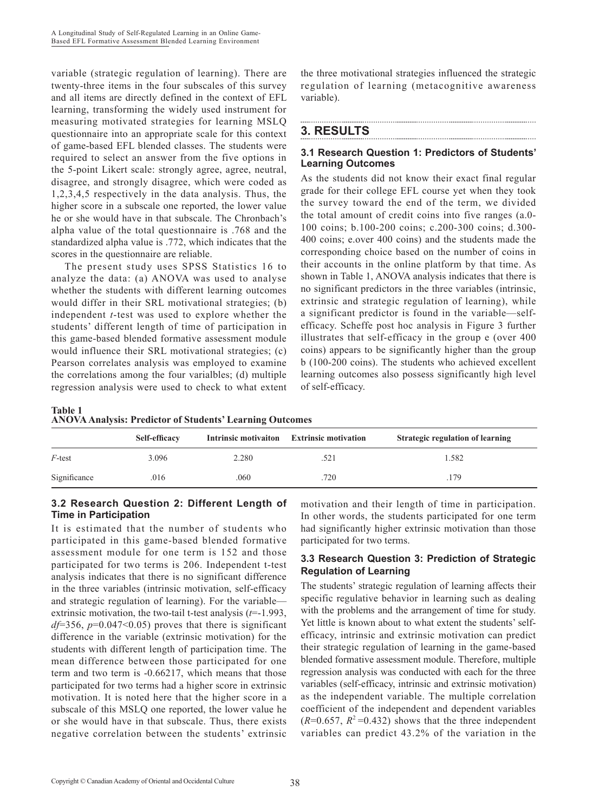variable (strategic regulation of learning). There are twenty-three items in the four subscales of this survey and all items are directly defined in the context of EFL learning, transforming the widely used instrument for measuring motivated strategies for learning MSLQ questionnaire into an appropriate scale for this context of game-based EFL blended classes. The students were required to select an answer from the five options in the 5-point Likert scale: strongly agree, agree, neutral, disagree, and strongly disagree, which were coded as 1,2,3,4,5 respectively in the data analysis. Thus, the higher score in a subscale one reported, the lower value he or she would have in that subscale. The Chronbach's alpha value of the total questionnaire is .768 and the standardized alpha value is .772, which indicates that the scores in the questionnaire are reliable.

The present study uses SPSS Statistics 16 to analyze the data: (a) ANOVA was used to analyse whether the students with different learning outcomes would differ in their SRL motivational strategies; (b) independent *t*-test was used to explore whether the students' different length of time of participation in this game-based blended formative assessment module would influence their SRL motivational strategies; (c) Pearson correlates analysis was employed to examine the correlations among the four varialbles; (d) multiple regression analysis were used to check to what extent

the three motivational strategies influenced the strategic regulation of learning (metacognitive awareness variable).

## **3. RESULTS**

## **3.1 Research Question 1: Predictors of Students' Learning Outcomes**

As the students did not know their exact final regular grade for their college EFL course yet when they took the survey toward the end of the term, we divided the total amount of credit coins into five ranges (a.0- 100 coins; b.100-200 coins; c.200-300 coins; d.300- 400 coins; e.over 400 coins) and the students made the corresponding choice based on the number of coins in their accounts in the online platform by that time. As shown in Table 1, ANOVA analysis indicates that there is no significant predictors in the three variables (intrinsic, extrinsic and strategic regulation of learning), while a significant predictor is found in the variable—selfefficacy. Scheffe post hoc analysis in Figure 3 further illustrates that self-efficacy in the group e (over 400 coins) appears to be significantly higher than the group b (100-200 coins). The students who achieved excellent learning outcomes also possess significantly high level of self-efficacy.

| <b>Table 1</b> |                                                                 |
|----------------|-----------------------------------------------------------------|
|                | <b>ANOVA Analysis: Predictor of Students' Learning Outcomes</b> |

|              | Self-efficacy |       | Intrinsic motivaiton Extrinsic motivation | Strategic regulation of learning |
|--------------|---------------|-------|-------------------------------------------|----------------------------------|
| $F$ -test    | 3.096         | 2.280 | .521                                      | 1.582                            |
| Significance | .016          | .060  | .720                                      | 179                              |

## **3.2 Research Question 2: Different Length of Time in Participation**

It is estimated that the number of students who participated in this game-based blended formative assessment module for one term is 152 and those participated for two terms is 206. Independent t-test analysis indicates that there is no significant difference in the three variables (intrinsic motivation, self-efficacy and strategic regulation of learning). For the variable extrinsic motivation, the two-tail t-test analysis (*t*=-1.993, *df*=356, *p*=0.047<0.05) proves that there is significant difference in the variable (extrinsic motivation) for the students with different length of participation time. The mean difference between those participated for one term and two term is -0.66217, which means that those participated for two terms had a higher score in extrinsic motivation. It is noted here that the higher score in a subscale of this MSLQ one reported, the lower value he or she would have in that subscale. Thus, there exists negative correlation between the students' extrinsic motivation and their length of time in participation. In other words, the students participated for one term had significantly higher extrinsic motivation than those participated for two terms.

## **3.3 Research Question 3: Prediction of Strategic Regulation of Learning**

The students' strategic regulation of learning affects their specific regulative behavior in learning such as dealing with the problems and the arrangement of time for study. Yet little is known about to what extent the students' selfefficacy, intrinsic and extrinsic motivation can predict their strategic regulation of learning in the game-based blended formative assessment module. Therefore, multiple regression analysis was conducted with each for the three variables (self-efficacy, intrinsic and extrinsic motivation) as the independent variable. The multiple correlation coefficient of the independent and dependent variables  $(R=0.657, R^2=0.432)$  shows that the three independent variables can predict 43.2% of the variation in the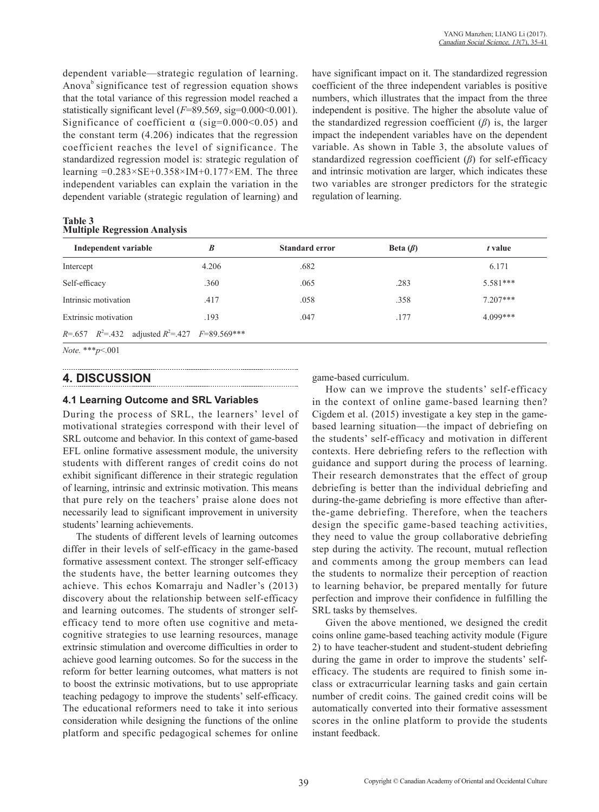dependent variable—strategic regulation of learning. Anova<sup>b</sup> significance test of regression equation shows that the total variance of this regression model reached a statistically significant level ( $F=89.569$ , sig=0.000<0.001). Significance of coefficient  $\alpha$  (sig=0.000<0.05) and the constant term (4.206) indicates that the regression coefficient reaches the level of significance. The standardized regression model is: strategic regulation of learning  $=0.283\times$ SE+0.358×IM+0.177×EM. The three independent variables can explain the variation in the dependent variable (strategic regulation of learning) and

have significant impact on it. The standardized regression coefficient of the three independent variables is positive numbers, which illustrates that the impact from the three independent is positive. The higher the absolute value of the standardized regression coefficient  $(\beta)$  is, the larger impact the independent variables have on the dependent variable. As shown in Table 3, the absolute values of standardized regression coefficient (*β*) for self-efficacy and intrinsic motivation are larger, which indicates these two variables are stronger predictors for the strategic regulation of learning.

**Table 3 Multiple Regression Analysis**

| Independent variable                                          | B     | <b>Standard error</b> | Beta $(\beta)$ | t value    |
|---------------------------------------------------------------|-------|-----------------------|----------------|------------|
| Intercept                                                     | 4.206 | .682                  |                | 6.171      |
| Self-efficacy                                                 | .360  | .065                  | .283           | $5.581***$ |
| Intrinsic motivation                                          | .417  | .058                  | .358           | $7.207***$ |
| Extrinsic motivation                                          | .193  | .047                  | .177           | $4.099***$ |
| $R = .657$ $R^2 = .432$ adjusted $R^2 = .427$ $F = 89.569***$ |       |                       |                |            |

*Note.* \*\*\**p*<.001

## **4. DISCUSSION**

### **4.1 Learning Outcome and SRL Variables**

During the process of SRL, the learners' level of motivational strategies correspond with their level of SRL outcome and behavior. In this context of game-based EFL online formative assessment module, the university students with different ranges of credit coins do not exhibit significant difference in their strategic regulation of learning, intrinsic and extrinsic motivation. This means that pure rely on the teachers' praise alone does not necessarily lead to significant improvement in university students' learning achievements.

The students of different levels of learning outcomes differ in their levels of self-efficacy in the game-based formative assessment context. The stronger self-efficacy the students have, the better learning outcomes they achieve. This echos Komarraju and Nadler's (2013) discovery about the relationship between self-efficacy and learning outcomes. The students of stronger selfefficacy tend to more often use cognitive and metacognitive strategies to use learning resources, manage extrinsic stimulation and overcome difficulties in order to achieve good learning outcomes. So for the success in the reform for better learning outcomes, what matters is not to boost the extrinsic motivations, but to use appropriate teaching pedagogy to improve the students' self-efficacy. The educational reformers need to take it into serious consideration while designing the functions of the online platform and specific pedagogical schemes for online game-based curriculum.

How can we improve the students' self-efficacy in the context of online game-based learning then? Cigdem et al. (2015) investigate a key step in the gamebased learning situation—the impact of debriefing on the students' self-efficacy and motivation in different contexts. Here debriefing refers to the reflection with guidance and support during the process of learning. Their research demonstrates that the effect of group debriefing is better than the individual debriefing and during-the-game debriefing is more effective than afterthe-game debriefing. Therefore, when the teachers design the specific game-based teaching activities, they need to value the group collaborative debriefing step during the activity. The recount, mutual reflection and comments among the group members can lead the students to normalize their perception of reaction to learning behavior, be prepared mentally for future perfection and improve their confidence in fulfilling the SRL tasks by themselves.

Given the above mentioned, we designed the credit coins online game-based teaching activity module (Figure 2) to have teacher-student and student-student debriefing during the game in order to improve the students' selfefficacy. The students are required to finish some inclass or extracurricular learning tasks and gain certain number of credit coins. The gained credit coins will be automatically converted into their formative assessment scores in the online platform to provide the students instant feedback.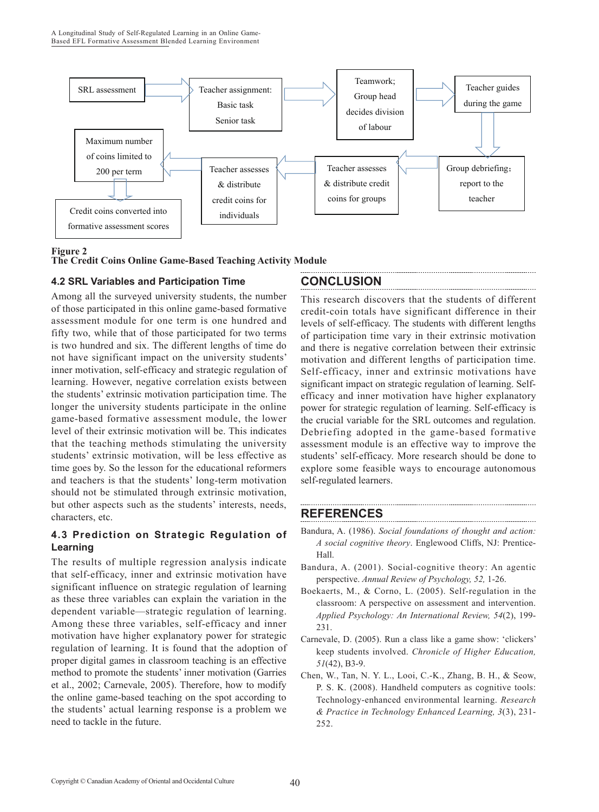

#### **Figure 2**

#### **The Credit Coins Online Game-Based Teaching Activity Module**

### **4.2 SRL Variables and Participation Time**

Among all the surveyed university students, the number of those participated in this online game-based formative assessment module for one term is one hundred and fifty two, while that of those participated for two terms is two hundred and six. The different lengths of time do not have significant impact on the university students' inner motivation, self-efficacy and strategic regulation of learning. However, negative correlation exists between the students' extrinsic motivation participation time. The longer the university students participate in the online game-based formative assessment module, the lower level of their extrinsic motivation will be. This indicates that the teaching methods stimulating the university students' extrinsic motivation, will be less effective as time goes by. So the lesson for the educational reformers and teachers is that the students' long-term motivation should not be stimulated through extrinsic motivation, but other aspects such as the students' interests, needs, characters, etc.

## **4.3 Prediction on Strategic Regulation of Learning**

The results of multiple regression analysis indicate that self-efficacy, inner and extrinsic motivation have significant influence on strategic regulation of learning as these three variables can explain the variation in the dependent variable—strategic regulation of learning. Among these three variables, self-efficacy and inner motivation have higher explanatory power for strategic regulation of learning. It is found that the adoption of proper digital games in classroom teaching is an effective method to promote the students' inner motivation (Garries et al., 2002; Carnevale, 2005). Therefore, how to modify the online game-based teaching on the spot according to the students' actual learning response is a problem we need to tackle in the future.

# **CONCLUSION**

This research discovers that the students of different credit-coin totals have significant difference in their levels of self-efficacy. The students with different lengths of participation time vary in their extrinsic motivation and there is negative correlation between their extrinsic motivation and different lengths of participation time. Self-efficacy, inner and extrinsic motivations have significant impact on strategic regulation of learning. Selfefficacy and inner motivation have higher explanatory power for strategic regulation of learning. Self-efficacy is the crucial variable for the SRL outcomes and regulation. Debriefing adopted in the game-based formative assessment module is an effective way to improve the students' self-efficacy. More research should be done to explore some feasible ways to encourage autonomous self-regulated learners.

## **REFERENCES**

- Bandura, A. (1986). *Social foundations of thought and action: A social cognitive theory*. Englewood Cliffs, NJ: Prentice-Hall.
- Bandura, A. (2001). Social-cognitive theory: An agentic perspective. *Annual Review of Psychology, 52,* 1-26.
- Boekaerts, M., & Corno, L. (2005). Self-regulation in the classroom: A perspective on assessment and intervention. *Applied Psychology: An International Review, 54*(2), 199- 231.
- Carnevale, D. (2005). Run a class like a game show: 'clickers' keep students involved. *Chronicle of Higher Education, 51*(42), B3-9.
- Chen, W., Tan, N. Y. L., Looi, C.-K., Zhang, B. H., & Seow, P. S. K. (2008). Handheld computers as cognitive tools: Technology-enhanced environmental learning. *Research & Practice in Technology Enhanced Learning, 3*(3), 231- 252.